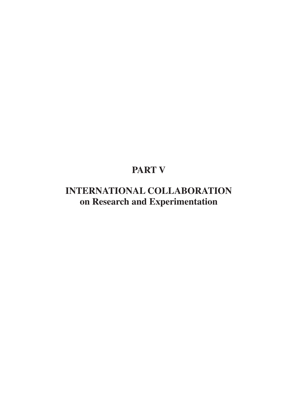# **PART V**

# **INTERNATIONAL COLLABORATION on Research and Experimentation**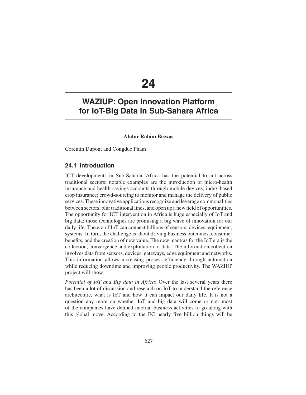# **24**

# **WAZIUP: Open Innovation Platform for IoT-Big Data in Sub-Sahara Africa**

#### **Abdur Rahim Biswas**

Corentin Dupont and Congduc Pham

## **24.1 Introduction**

ICT developments in Sub-Saharan Africa has the potential to cut across traditional sectors: notable examples are the introduction of micro-health insurance and health-savings accounts through mobile devices; index-based crop insurance; crowd-sourcing to monitor and manage the delivery of public services. These innovative applications recognize and leverage commonalities between sectors, blur traditional lines, and open up a new field of opportunities. The opportunity for ICT intervention in Africa is huge especially of IoT and big data: those technologies are promising a big wave of innovation for our daily life. The era of IoT can connect billions of sensors, devices, equipment, systems. In turn, the challenge is about driving business outcomes, consumer benefits, and the creation of new value. The new mantras for the IoT era is the collection, convergence and exploitation of data. The information collection involves data from sensors, devices, gateways, edge equipment and networks. This information allows increasing process efficiency through automation while reducing downtime and improving people productivity. The WAZIUP project will show:

*Potential of IoT and Big data in Africa*: Over the last several years there has been a lot of discussion and research on IoT to understand the reference architecture, what is IoT and how it can impact our daily life. It is not a question any more on whether IoT and big data will come or not: most of the companies have defined internal business activities to go along with this global move. According to the EC nearly five billion things will be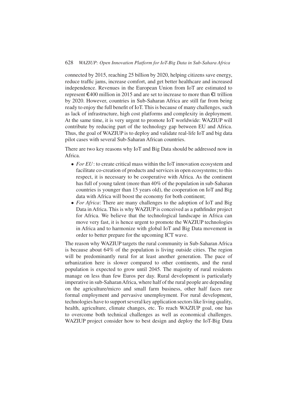connected by 2015, reaching 25 billion by 2020, helping citizens save energy, reduce traffic jams, increase comfort, and get better healthcare and increased independence. Revenues in the European Union from IoT are estimated to represent €400 million in 2015 and are set to increase to more than €1 trillion by 2020. However, countries in Sub-Saharan Africa are still far from being ready to enjoy the full benefit of IoT. This is because of many challenges, such as lack of infrastructure, high cost platforms and complexity in deployment. At the same time, it is very urgent to promote IoT worldwide: WAZIUP will contribute by reducing part of the technology gap between EU and Africa. Thus, the goal of WAZIUP is to deploy and validate real-life IoT and big data pilot cases with several Sub-Saharan African countries.

There are two key reasons why IoT and Big Data should be addressed now in Africa.

- *For EU*: to create critical mass within the IoT innovation ecosystem and facilitate co-creation of products and services in open ecosystems; to this respect, it is necessary to be cooperative with Africa. As the continent has full of young talent (more than 40% of the population in sub-Saharan countries is younger than 15 years old), the cooperation on IoT and Big data with Africa will boost the economy for both continent;
- *For Africa*: There are many challenges to the adoption of IoT and Big Data in Africa. This is why WAZIUP is conceived as a pathfinder project for Africa. We believe that the technological landscape in Africa can move very fast, it is hence urgent to promote the WAZIUP technologies in Africa and to harmonize with global IoT and Big Data movement in order to better prepare for the upcoming ICT wave.

The reason why WAZIUP targets the rural community in Sub-Saharan Africa is because about 64% of the population is living outside cities. The region will be predominantly rural for at least another generation. The pace of urbanization here is slower compared to other continents, and the rural population is expected to grow until 2045. The majority of rural residents manage on less than few Euros per day. Rural development is particularly imperative in sub-Saharan Africa, where half of the rural people are depending on the agriculture/micro and small farm business, other half faces rare formal employment and pervasive unemployment. For rural development, technologies have to support several key application sectors like living quality, health, agriculture, climate changes, etc. To reach WAZIUP goal, one has to overcome both technical challenges as well as economical challenges. WAZIUP project consider how to best design and deploy the IoT-Big Data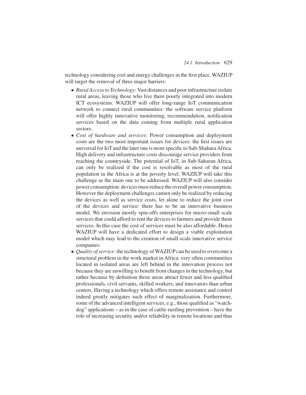technology considering cost and energy challenges in the first place. WAZIUP will target the removal of three major barriers:

- *Rural Access to Technology*: Vast distances and poor infrastructure isolate rural areas, leaving those who live there poorly integrated into modern ICT ecosystems. WAZIUP will offer long-range IoT communication network to connect rural communities: the software service platform will offer highly innovative monitoring, recommendation, notification services based on the data coming from multiple rural application sectors.
- *Cost of hardware and services*: Power consumption and deployment costs are the two most important issues for devices: the first issues are universal for IoT and the later one is more specific to Sub-Shahara Africa. High delivery and infrastructure costs discourage service providers from reaching the countryside. The potential of IoT, in Sub-Saharan Africa, can only be realized if the cost is resolvable as most of the rural population in the Africa is at the poverty level. WAZIUP will take this challenge as the main one to be addressed. WAZIUP will also consider power consumption: devices must reduce the overall power consumption. However the deployment challenges cannot only be realized by reducing the devices as well as service costs, let alone to reduce the joint cost of the devices and service: there has to be an innovative business model. We envision mostly spin-offs enterprises for micro-small scale services that could afford to rent the devices to farmers and provide them services. In this case the cost of services must be also affordable. Hence WAZIUP will have a dedicated effort to design a viable exploitation model which may lead to the creation of small-scale innovative service companies.
- *Quality of service*: the technology of WAZIUP can be used to overcome a structural problem in the work market in Africa: very often communities located in isolated areas are left behind in the innovation process not because they are unwilling to benefit from changes in the technology, but rather because by definition those areas attract fewer and less qualified professionals, civil servants, skilled workers, and innovators than urban centers. Having a technology which offers remote assistance and control indeed greatly mitigates such effect of marginalization. Furthermore, some of the advanced intelligent services, e.g., those qualified as "watchdog" applications – as in the case of cattle-rustling prevention – have the role of increasing security and/or reliability in remote locations and thus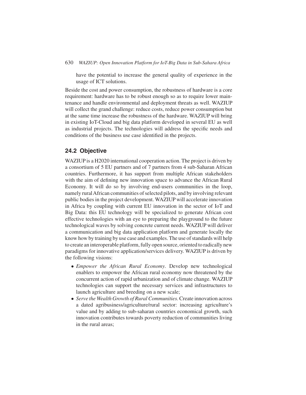have the potential to increase the general quality of experience in the usage of ICT solutions.

Beside the cost and power consumption, the robustness of hardware is a core requirement: hardware has to be robust enough so as to require lower maintenance and handle environmental and deployment threats as well. WAZIUP will collect the grand challenge: reduce costs, reduce power consumption but at the same time increase the robustness of the hardware. WAZIUP will bring in existing IoT-Cloud and big data platform developed in several EU as well as industrial projects. The technologies will address the specific needs and conditions of the business use case identified in the projects.

# **24.2 Objective**

WAZIUP is a H2020 international cooperation action. The project is driven by a consortium of 5 EU partners and of 7 partners from 4 sub-Saharan African countries. Furthermore, it has support from multiple African stakeholders with the aim of defining new innovation space to advance the African Rural Economy. It will do so by involving end-users communities in the loop, namely ruralAfrican communities of selected pilots, and by involving relevant public bodies in the project development. WAZIUP will accelerate innovation in Africa by coupling with current EU innovation in the sector of IoT and Big Data: this EU technology will be specialized to generate African cost effective technologies with an eye to preparing the playground to the future technological waves by solving concrete current needs. WAZIUP will deliver a communication and big data application platform and generate locally the know how by training by use case and examples. The use of standards will help to create an interoperable platform, fully open source, oriented to radically new paradigms for innovative application/services delivery. WAZIUP is driven by the following visions:

- *Empower the African Rural Economy*. Develop new technological enablers to empower the African rural economy now threatened by the concurrent action of rapid urbanization and of climate change. WAZIUP technologies can support the necessary services and infrastructures to launch agriculture and breeding on a new scale;
- *Serve the Wealth Growth of Rural Communities.*Create innovation across a dated agribusiness/agriculture/rural sector: increasing agriculture's value and by adding to sub-saharan countries economical growth, such innovation contributes towards poverty reduction of communities living in the rural areas;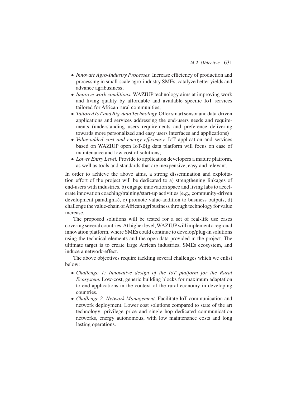- *Innovate Agro-Industry Processes.* Increase efficiency of production and processing in small-scale agro-industry SMEs, catalyze better yields and advance agribusiness;
- *Improve work conditions.* WAZIUP technology aims at improving work and living quality by affordable and available specific IoT services tailored for African rural communities;
- *Tailored IoT and Big-data Technology.*Offer smart sensor and data-driven applications and services addressing the end-users needs and requirements (understanding users requirements and preference delivering towards more personalized and easy users interfaces and applications)
- *Value-added cost and energy efficiency.* IoT application and services based on WAZIUP open IoT-Big data platform will focus on ease of maintenance and low cost of solutions;
- *Lower Entry Level.* Provide to application developers a mature platform, as well as tools and standards that are inexpensive, easy and relevant.

In order to achieve the above aims, a strong dissemination and exploitation effort of the project will be dedicated to a) strengthening linkages of end-users with industries, b) engage innovation space and living labs to accelerate innovation coaching/training/start-up activities (e.g., community-driven development paradigms), c) promote value-addition to business outputs, d) challenge the value-chain ofAfrican agribusiness through technology for value increase.

The proposed solutions will be tested for a set of real-life use cases covering several countries.At higher level,WAZIUPwill implement a regional innovation platform, where SMEs could continue to develop/plug-in solutions using the technical elements and the open data provided in the project. The ultimate target is to create large African industries, SMEs ecosystem, and induce a network-effect.

The above objectives require tackling several challenges which we enlist below:

- *Challenge 1: Innovative design of the IoT platform for the Rural Ecosystem.* Low-cost, generic building blocks for maximum adaptation to end-applications in the context of the rural economy in developing countries.
- *Challenge 2: Network Management*. Facilitate IoT communication and network deployment. Lower cost solutions compared to state of the art technology: privilege price and single hop dedicated communication networks, energy autonomous, with low maintenance costs and long lasting operations.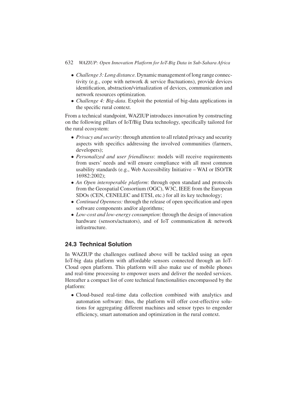- *Challenge 3: Long distance.* Dynamic management of long range connectivity (e.g., cope with network & service fluctuations), provide devices identification, abstraction/virtualization of devices, communication and network resources optimization.
- *Challenge 4: Big-data*. Exploit the potential of big-data applications in the specific rural context.

From a technical standpoint, WAZIUP introduces innovation by constructing on the following pillars of IoT/Big Data technology, specifically tailored for the rural ecosystem:

- *Privacy and security*: through attention to all related privacy and security aspects with specifics addressing the involved communities (farmers, developers);
- *Personalized and user friendliness*: models will receive requirements from users' needs and will ensure compliance with all most common usability standards (e.g., Web Accessibility Initiative – WAI or ISO/TR 16982:2002);
- *An Open interoperable platform*: through open standard and protocols from the Geospatial Consortium (OGC), W3C, IEEE from the European SDOs (CEN, CENELEC and ETSI, etc.) for all its key technology;
- *Continued Openness:* through the release of open specification and open software components and/or algorithms;
- *Low-cost and low-energy consumption*: through the design of innovation hardware (sensors/actuators), and of IoT communication & network infrastructure.

# **24.3 Technical Solution**

In WAZIUP the challenges outlined above will be tackled using an open IoT-big data platform with affordable sensors connected through an IoT-Cloud open platform. This platform will also make use of mobile phones and real-time processing to empower users and deliver the needed services. Hereafter a compact list of core technical functionalities encompassed by the platform:

• Cloud-based real-time data collection combined with analytics and automation software: thus, the platform will offer cost-effective solutions for aggregating different machines and sensor types to engender efficiency, smart automation and optimization in the rural context.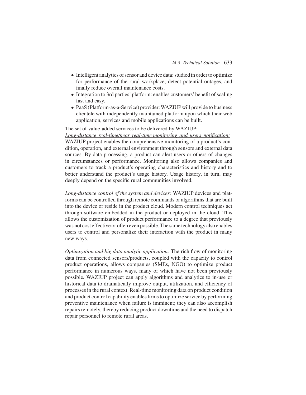- Intelligent analytics of sensor and device data: studied in order to optimize for performance of the rural workplace, detect potential outages, and finally reduce overall maintenance costs.
- Integration to 3rd parties' platform: enables customers' benefit of scaling fast and easy.
- PaaS (Platform-as-a-Service) provider: WAZIUP will provide to business clientele with independently maintained platform upon which their web application, services and mobile applications can be built.

#### The set of value-added services to be delivered by WAZIUP:

*Long-distance real-time/near real-time monitoring and users notification:* WAZIUP project enables the comprehensive monitoring of a product's condition, operation, and external environment through sensors and external data sources. By data processing, a product can alert users or others of changes in circumstances or performance. Monitoring also allows companies and customers to track a product's operating characteristics and history and to better understand the product's usage history. Usage history, in turn, may deeply depend on the specific rural communities involved.

*Long-distance control of the system and devices:* WAZIUP devices and platforms can be controlled through remote commands or algorithms that are built into the device or reside in the product cloud. Modern control techniques act through software embedded in the product or deployed in the cloud. This allows the customization of product performance to a degree that previously was not cost effective or often even possible. The same technology also enables users to control and personalize their interaction with the product in many new ways.

*Optimization and big data analytic application:* The rich flow of monitoring data from connected sensors/products, coupled with the capacity to control product operations, allows companies (SMEs, NGO) to optimize product performance in numerous ways, many of which have not been previously possible. WAZIUP project can apply algorithms and analytics to in-use or historical data to dramatically improve output, utilization, and efficiency of processes in the rural context. Real-time monitoring data on product condition and product control capability enables firms to optimize service by performing preventive maintenance when failure is imminent; they can also accomplish repairs remotely, thereby reducing product downtime and the need to dispatch repair personnel to remote rural areas.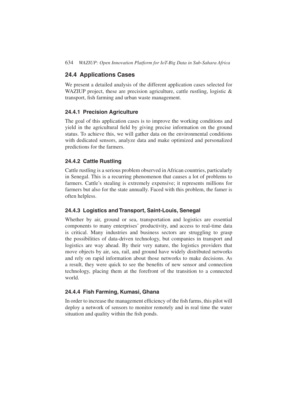### **24.4 Applications Cases**

We present a detailed analysis of the different application cases selected for WAZIUP project, these are precision agriculture, cattle rustling, logistic & transport, fish farming and urban waste management.

#### **24.4.1 Precision Agriculture**

The goal of this application cases is to improve the working conditions and yield in the agricultural field by giving precise information on the ground status. To achieve this, we will gather data on the environmental conditions with dedicated sensors, analyze data and make optimized and personalized predictions for the farmers.

#### **24.4.2 Cattle Rustling**

Cattle rustling is a serious problem observed in African countries, particularly in Senegal. This is a recurring phenomenon that causes a lot of problems to farmers. Cattle's stealing is extremely expensive; it represents millions for farmers but also for the state annually. Faced with this problem, the famer is often helpless.

#### **24.4.3 Logistics and Transport, Saint-Louis, Senegal**

Whether by air, ground or sea, transportation and logistics are essential components to many enterprises' productivity, and access to real-time data is critical. Many industries and business sectors are struggling to grasp the possibilities of data-driven technology, but companies in transport and logistics are way ahead. By their very nature, the logistics providers that move objects by air, sea, rail, and ground have widely distributed networks and rely on rapid information about those networks to make decisions. As a result, they were quick to see the benefits of new sensor and connection technology, placing them at the forefront of the transition to a connected world.

#### **24.4.4 Fish Farming, Kumasi, Ghana**

In order to increase the management efficiency of the fish farms, this pilot will deploy a network of sensors to monitor remotely and in real time the water situation and quality within the fish ponds.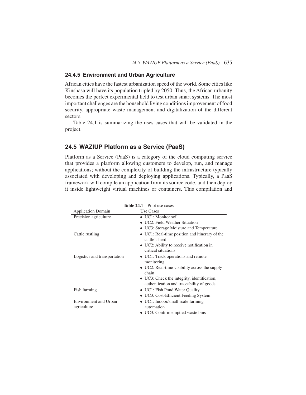#### **24.4.5 Environment and Urban Agriculture**

African cities have the fastest urbanization speed of the world. Some cities like Kinshasa will have its population tripled by 2050. Thus, the African urbanity becomes the perfect experimental field to test urban smart systems. The most important challenges are the household living conditions improvement of food security, appropriate waste management and digitalization of the different sectors.

Table 24.1 is summarizing the uses cases that will be validated in the project.

### **24.5 WAZIUP Platform as a Service (PaaS)**

Platform as a Service (PaaS) is a category of the cloud computing service that provides a platform allowing customers to develop, run, and manage applications; without the complexity of building the infrastructure typically associated with developing and deploying applications. Typically, a PaaS framework will compile an application from its source code, and then deploy it inside lightweight virtual machines or containers. This compilation and

| <b>Table 24.1</b> Pilot use cases      |                                                        |
|----------------------------------------|--------------------------------------------------------|
| <b>Application Domain</b><br>Use Cases |                                                        |
| Precision agriculture                  | UC1: Monitor soil                                      |
|                                        | • UC2: Field Weather Situation                         |
|                                        | • UC3: Storage Moisture and Temperature                |
| Cattle rustling                        | • UC1: Real-time position and itinerary of the         |
|                                        | cattle's herd                                          |
|                                        | • UC2: Ability to receive notification in              |
|                                        | critical situations                                    |
| Logistics and transportation           | • UC1: Track operations and remote                     |
|                                        | monitoring                                             |
|                                        | • UC2: Real-time visibility across the supply<br>chain |
|                                        | • UC3: Check the integrity, identification,            |
|                                        | authentication and traceability of goods               |
| Fish farming                           | • UC1: Fish Pond Water Quality                         |
|                                        | • UC3: Cost-Efficient Feeding System                   |
| <b>Environment</b> and Urban           | • UC1: Indoor/small scale farming                      |
| agriculture                            | automation                                             |
|                                        | • UC3: Confirm emptied waste bins                      |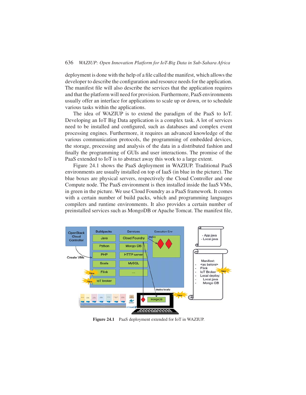deployment is done with the help of a file called the manifest, which allows the developer to describe the configuration and resource needs for the application. The manifest file will also describe the services that the application requires and that the platform will need for provision. Furthermore, PaaS environments usually offer an interface for applications to scale up or down, or to schedule various tasks within the applications.

The idea of WAZIUP is to extend the paradigm of the PaaS to IoT. Developing an IoT Big Data application is a complex task. A lot of services need to be installed and configured, such as databases and complex event processing engines. Furthermore, it requires an advanced knowledge of the various communication protocols, the programming of embedded devices, the storage, processing and analysis of the data in a distributed fashion and finally the programming of GUIs and user interactions. The promise of the PaaS extended to IoT is to abstract away this work to a large extent.

Figure 24.1 shows the PaaS deployment in WAZIUP. Traditional PaaS environments are usually installed on top of IaaS (in blue in the picture). The blue boxes are physical servers, respectively the Cloud Controller and one Compute node. The PaaS environment is then installed inside the IaaS VMs, in green in the picture. We use Cloud Foundry as a PaaS framework. It comes with a certain number of build packs, which and programming languages compilers and runtime environments. It also provides a certain number of preinstalled services such as MongoDB or Apache Tomcat. The manifest file,



**Figure 24.1** PaaS deployment extended for IoT in WAZIUP.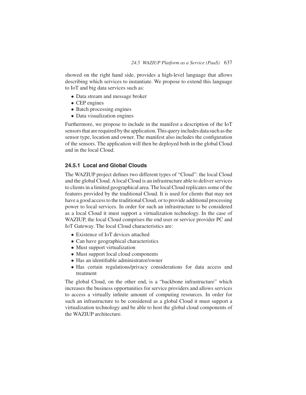showed on the right hand side, provides a high-level language that allows describing which services to instantiate. We propose to extend this language to IoT and big data services such as:

- Data stream and message broker
- CEP engines
- Batch processing engines
- Data visualization engines

Furthermore, we propose to include in the manifest a description of the IoT sensors that are required by the application. This query includes data such as the sensor type, location and owner. The manifest also includes the configuration of the sensors. The application will then be deployed both in the global Cloud and in the local Cloud.

# **24.5.1 Local and Global Clouds**

The WAZIUP project defines two different types of "Cloud": the local Cloud and the global Cloud. Alocal Cloud is an infrastructure able to deliver services to clients in a limited geographical area. The local Cloud replicates some of the features provided by the traditional Cloud. It is used for clients that may not have a good access to the traditional Cloud, or to provide additional processing power to local services. In order for such an infrastructure to be considered as a local Cloud it must support a virtualization technology. In the case of WAZIUP, the local Cloud comprises the end user or service provider PC and IoT Gateway. The local Cloud characteristics are:

- Existence of IoT devices attached
- Can have geographical characteristics
- Must support virtualization
- Must support local cloud components
- Has an identifiable administrator/owner
- Has certain regulations/privacy considerations for data access and treatment

The global Cloud, on the other end, is a "backbone infrastructure" which increases the business opportunities for service providers and allows services to access a virtually infinite amount of computing resources. In order for such an infrastructure to be considered as a global Cloud it must support a virtualization technology and be able to host the global cloud components of the WAZIUP architecture.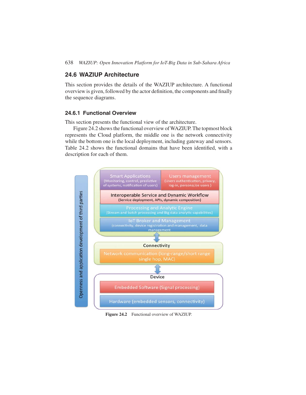# **24.6 WAZIUP Architecture**

This section provides the details of the WAZIUP architecture. A functional overview is given, followed by the actor definition, the components and finally the sequence diagrams.

#### **24.6.1 Functional Overview**

This section presents the functional view of the architecture.

Figure 24.2 shows the functional overview of WAZIUP. The topmost block represents the Cloud platform, the middle one is the network connectivity while the bottom one is the local deployment, including gateway and sensors. Table 24.2 shows the functional domains that have been identified, with a description for each of them.



**Figure 24.2** Functional overview of WAZIUP.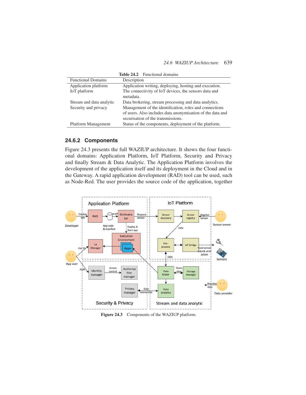| <b>Table 24.2</b> Functional domains |                                                            |
|--------------------------------------|------------------------------------------------------------|
| <b>Functional Domains</b>            | Description                                                |
| Application platform                 | Application writing, deploying, hosting and execution.     |
| IoT platform                         | The connectivity of IoT devices, the sensors data and      |
|                                      | metadata.                                                  |
| Stream and data analytic             | Data brokering, stream processing and data analytics.      |
| Security and privacy                 | Management of the identification, roles and connections    |
|                                      | of users. Also includes data anonymisation of the data and |
|                                      | securisation of the transmissions.                         |
| Platform Management                  | Status of the components, deployment of the platform.      |

# **24.6.2 Components**

Figure 24.3 presents the full WAZIUP architecture. It shows the four functional domains: Application Platform, IoT Platform, Security and Privacy and finally Stream & Data Analytic. The Application Platform involves the development of the application itself and its deployment in the Cloud and in the Gateway. A rapid application development (RAD) tool can be used, such as Node-Red. The user provides the source code of the application, together



**Figure 24.3** Components of the WAZIUP platform.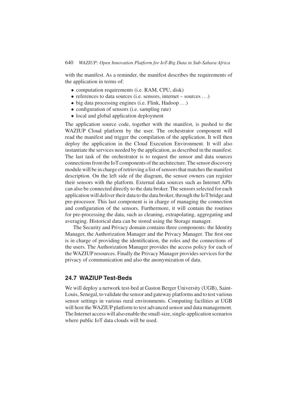with the manifest. As a reminder, the manifest describes the requirements of the application in terms of:

- computation requirements (i.e. RAM, CPU, disk)
- references to data sources (i.e. sensors, internet sources . . .)
- big data processing engines (i.e. Flink, Hadoop . . .)
- configuration of sensors (i.e. sampling rate)
- local and global application deployment

The application source code, together with the manifest, is pushed to the WAZIUP Cloud platform by the user. The orchestrator component will read the manifest and trigger the compilation of the application. It will then deploy the application in the Cloud Execution Environment. It will also instantiate the services needed by the application, as described in the manifest. The last task of the orchestrator is to request the sensor and data sources connections from the IoT components of the architecture. The sensor discovery module will be in charge of retrieving a list of sensors that matches the manifest description. On the left side of the diagram, the sensor owners can register their sensors with the platform. External data sources such as Internet APIs can also be connected directly to the data broker. The sensors selected for each application will deliver their data to the data broker, through the IoT bridge and pre-processor. This last component is in charge of managing the connection and configuration of the sensors. Furthermore, it will contain the routines for pre-processing the data, such as cleaning, extrapolating, aggregating and averaging. Historical data can be stored using the Storage manager.

The Security and Privacy domain contains three components: the Identity Manager, the Authorization Manager and the Privacy Manager. The first one is in charge of providing the identification, the roles and the connections of the users. The Authorization Manager provides the access policy for each of the WAZIUP resources. Finally the Privacy Manager provides services for the privacy of communication and also the anonymization of data.

### **24.7 WAZIUP Test-Beds**

We will deploy a network test-bed at Gaston Berger University (UGB), Saint-Louis, Senegal, to validate the sensor and gateway platforms and to test various sensor settings in various rural environments. Computing facilities at UGB will host the WAZIUP platform to test advanced sensor and data management. The Internet access will also enable the small-size, single-application scenarios where public IoT data clouds will be used.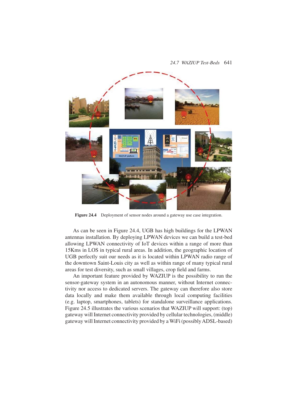*24.7 WAZIUP Test-Beds* 641



**Figure 24.4** Deployment of sensor nodes around a gateway use case integration.

As can be seen in Figure 24.4, UGB has high buildings for the LPWAN antennas installation. By deploying LPWAN devices we can build a test-bed allowing LPWAN connectivity of IoT devices within a range of more than 15Kms in LOS in typical rural areas. In addition, the geographic location of UGB perfectly suit our needs as it is located within LPWAN radio range of the downtown Saint-Louis city as well as within range of many typical rural areas for test diversity, such as small villages, crop field and farms.

An important feature provided by WAZIUP is the possibility to run the sensor-gateway system in an autonomous manner, without Internet connectivity nor access to dedicated servers. The gateway can therefore also store data locally and make them available through local computing facilities (e.g. laptop, smartphones, tablets) for standalone surveillance applications. Figure 24.5 illustrates the various scenarios that WAZIUP will support: (top) gateway will Internet connectivity provided by cellular technologies, (middle) gateway will Internet connectivity provided by aWiFi (possiblyADSL-based)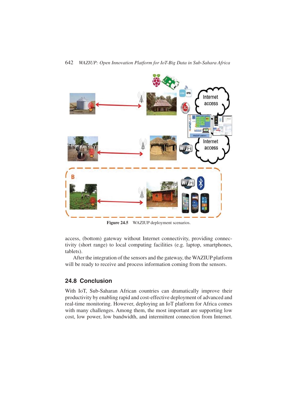

Figure 24.5 WAZIUP deployment scenarios.

access, (bottom) gateway without Internet connectivity, providing connectivity (short range) to local computing facilities (e.g. laptop, smartphones, tablets).

After the integration of the sensors and the gateway, the WAZIUP platform will be ready to receive and process information coming from the sensors.

# **24.8 Conclusion**

With IoT, Sub-Saharan African countries can dramatically improve their productivity by enabling rapid and cost-effective deployment of advanced and real-time monitoring. However, deploying an IoT platform for Africa comes with many challenges. Among them, the most important are supporting low cost, low power, low bandwidth, and intermittent connection from Internet.